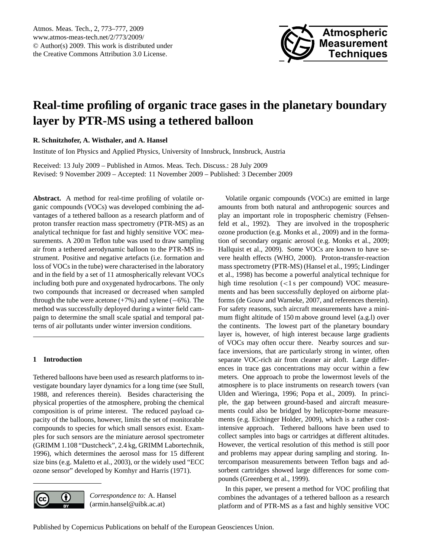

# <span id="page-0-0"></span>**Real-time profiling of organic trace gases in the planetary boundary layer by PTR-MS using a tethered balloon**

**R. Schnitzhofer, A. Wisthaler, and A. Hansel**

Institute of Ion Physics and Applied Physics, University of Innsbruck, Innsbruck, Austria

Received: 13 July 2009 – Published in Atmos. Meas. Tech. Discuss.: 28 July 2009 Revised: 9 November 2009 – Accepted: 11 November 2009 – Published: 3 December 2009

**Abstract.** A method for real-time profiling of volatile organic compounds (VOCs) was developed combining the advantages of a tethered balloon as a research platform and of proton transfer reaction mass spectrometry (PTR-MS) as an analytical technique for fast and highly sensitive VOC measurements. A 200 m Teflon tube was used to draw sampling air from a tethered aerodynamic balloon to the PTR-MS instrument. Positive and negative artefacts (i.e. formation and loss of VOCs in the tube) were characterised in the laboratory and in the field by a set of 11 atmospherically relevant VOCs including both pure and oxygenated hydrocarbons. The only two compounds that increased or decreased when sampled through the tube were acetone  $(+7%)$  and xylene  $(-6%)$ . The method was successfully deployed during a winter field campaign to determine the small scale spatial and temporal patterns of air pollutants under winter inversion conditions.

## **1 Introduction**

Tethered balloons have been used as research platforms to investigate boundary layer dynamics for a long time (see [Stull,](#page-4-0) [1988,](#page-4-0) and references therein). Besides characterising the physical properties of the atmosphere, probing the chemical composition is of prime interest. The reduced payload capacity of the balloons, however, limits the set of monitorable compounds to species for which small sensors exist. Examples for such sensors are the miniature aerosol spectrometer (GRIMM 1.108 "Dustcheck", 2.4 kg, GRIMM Labortechnik, 1996), which determines the aerosol mass for 15 different size bins (e.g. [Maletto et al.,](#page-4-1) [2003\)](#page-4-1), or the widely used "ECC ozone sensor" developed by [Komhyr and Harris](#page-4-2) [\(1971\)](#page-4-2).



*Correspondence to:* A. Hansel (armin.hansel@uibk.ac.at)

Volatile organic compounds (VOCs) are emitted in large amounts from both natural and anthropogenic sources and play an important role in tropospheric chemistry [\(Fehsen](#page-4-3)[feld et al.,](#page-4-3) [1992\)](#page-4-3). They are involved in the tropospheric ozone production (e.g. [Monks et al.,](#page-4-4) [2009\)](#page-4-4) and in the formation of secondary organic aerosol (e.g. [Monks et al.,](#page-4-4) [2009;](#page-4-4) [Hallquist et al.,](#page-4-5) [2009\)](#page-4-5). Some VOCs are known to have severe health effects [\(WHO,](#page-4-6) [2000\)](#page-4-6). Proton-transfer-reaction mass spectrometry (PTR-MS) [\(Hansel et al.,](#page-4-7) [1995;](#page-4-7) [Lindinger](#page-4-8) [et al.,](#page-4-8) [1998\)](#page-4-8) has become a powerful analytical technique for high time resolution (<1s per compound) VOC measurements and has been successfully deployed on airborne platforms [\(de Gouw and Warneke,](#page-4-9) [2007,](#page-4-9) and references therein). For safety reasons, such aircraft measurements have a minimum flight altitude of 150 m above ground level (a.g.l) over the continents. The lowest part of the planetary boundary layer is, however, of high interest because large gradients of VOCs may often occur there. Nearby sources and surface inversions, that are particularly strong in winter, often separate VOC-rich air from cleaner air aloft. Large differences in trace gas concentrations may occur within a few meters. One approach to probe the lowermost levels of the atmosphere is to place instruments on research towers [\(van](#page-4-10) [Ulden and Wieringa,](#page-4-10) [1996;](#page-4-10) [Popa et al.,](#page-4-11) [2009\)](#page-4-11). In principle, the gap between ground-based and aircraft measurements could also be bridged by helicopter-borne measurements (e.g. [Eichinger Holder,](#page-4-12) [2009\)](#page-4-12), which is a rather costintensive approach. Tethered balloons have been used to collect samples into bags or cartridges at different altitudes. However, the vertical resolution of this method is still poor and problems may appear during sampling and storing. Intercomparison measurements between Teflon bags and adsorbent cartridges showed large differences for some compounds [\(Greenberg et al.,](#page-4-13) [1999\)](#page-4-13).

In this paper, we present a method for VOC profiling that combines the advantages of a tethered balloon as a research platform and of PTR-MS as a fast and highly sensitive VOC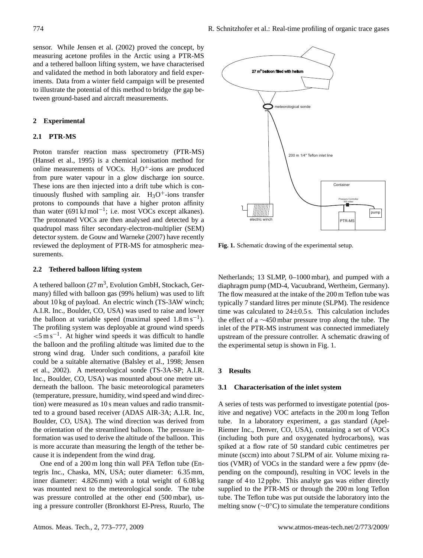sensor. While [Jensen et al.](#page-4-14) [\(2002\)](#page-4-14) proved the concept, by measuring acetone profiles in the Arctic using a PTR-MS and a tethered balloon lifting system, we have characterised and validated the method in both laboratory and field experiments. Data from a winter field campaign will be presented to illustrate the potential of this method to bridge the gap between ground-based and aircraft measurements.

#### 2 Experimental  $k$  $\mathbf{r}$  is the proton of  $\mathbf{r}$  all all algebra  $\mathbf{r}$  all all algebra  $\mathbf{r}$  all algebra  $\mathbf{r}$  algebra  $\mathbf{r}$

## 2.1 PTR-MS

Proton transfer reaction mass spectrometry (PTR-MS) [\(Hansel et al.,](#page-4-7) [1995\)](#page-4-7) is a chemical ionisation method for online measurements of VOCs.  $H_3O^+$ -ions are produced from pure water vapour in a glow discharge ion source. These ions are then injected into a drift tube which is continuously flushed with sampling air.  $H_3O^+$ -ions transfer protons to compounds that have a higher proton affinity protons to compount that have a mgler proton annity than water (691 kJ mol<sup>-1</sup>; i.e. most VOCs except alkanes). The protonated VOCs are then analysed and detected by a quadrupol mass filter secondary-electron-multiplier (SEM) detector system. [de Gouw and Warneke](#page-4-9)  $(2007)$  have recently reviewed the deployment of PTR-MS for atmospheric measurements.  $m$  manufactured with sampling and  $m$   $\frac{1}{2}$  helium  $\frac{1}{2}$  and  $\frac{1}{2}$  and  $\frac{1}{2}$  and  $\frac{1}{2}$  and  $\frac{1}{2}$  and  $\frac{1}{2}$  and  $\frac{1}{2}$  and  $\frac{1}{2}$  and  $\frac{1}{2}$  and  $\frac{1}{2}$  and  $\frac{1}{2}$  and  $\frac{1}{2}$  a  $\frac{1}{2}$ . I.R. Inc., Box vocs except and lowers.  $t$  the strong wind drag. Under such conditions, a parafoil kite  $\mathbf{v}$  and  $\mathbf{v}$  and  $\mathbf{v}$  are for  $\mathbf{v}$  and  $\mathbf{v}$  are for  $\mathbf{v}$  and  $\mathbf{v}$  are for  $\mathbf{v}$  and  $\mathbf{v}$  are for  $\mathbf{v}$  and  $\mathbf{v}$  a

## **2.2** Tethered balloon lifting system 2 Temered bahoon mung system

A tethered balloon  $(27 \text{ m}^3,$  Evolution GmbH, Stockach, Germany) filled with balloon gas  $(99%$  helium) was used to lift  $\frac{1}{2}$  about 10 kg of payload. An electric winch (TS-3AW winch; A.I.R. Inc., Boulder, CO, USA) was used to raise and lower the balloon at variable speed (maximal speed  $1.8 \text{ m s}^{-1}$ ). The profiling system was deployable at ground wind speeds.  $5 \text{ m s}^{-1}$ . At higher wind speeds it was difficult to handle  $\sim$  5 ms  $\,$ . At inglict which spects it was unified due to the balloon and the profiling altitude was limited due to the strong wind drag. Under such conditions, a parafoil kite could be a suitable alternative [\(Balsley et al.,](#page-4-15) [1998;](#page-4-15) [Jensen](#page-4-14) [et al.,](#page-4-14) [2002\)](#page-4-14). A meteorological sonde (TS-3A-SP; A.I.R. Inc., Boulder, CO, USA) was mounted about one metre underneath the balloon. The basic meteorological parameters (temperature, pressure, humidity, wind speed and wind direction) were measured as 10 s mean values and radio transmitted to a ground based receiver (ADAS AIR-3A; A.I.R. Inc, Boulder, CO, USA). The wind direction was derived from the orientation of the streamlined balloon. The pressure information was used to derive the altitude of the balloon. This is more accurate than measuring the length of the tether because it is independent from the wind drag.  $\alpha$  bandon and the proming attribute was immediate to the tether be-

One end of a 200 m long thin wall PFA Teflon tube (Entegris Inc., Chaska, MN, USA; outer diameter: 6.35 mm, inner diameter: 4.826 mm) with a total weight of 6.08 kg was mounted next to the meteorological sonde. The tube was pressure controlled at the other end (500 mbar), using a pressure controller (Bronkhorst El-Press, Ruurlo, The



<span id="page-1-0"></span>Fig. 1. Schematic drawing of the experimental setup. **Fig. 1.** Schematic drawing of the experimental setup.

diaphragm pump (MD-4, Vacuubrand, Wertheim, Germany). 1.1 The now measured at the matter of the 200 m Tenon tabe was<br>typically 7 standard litres per minute (SLPM). The residence time was calculated to  $24\pm0.5$  s. This calculation includes the effect of a ∼450 mbar pressure trop along the tube. The inlet of the PTR-MS instrument was connected immediately upstream of the pressure controller. A schematic drawing of the experimental setup is shown in Fig. [1.](#page-1-0) Netherlands; 13 SLMP, 0–1000 mbar), and pumped with a The flow measured at the intake of the 200 m Teflon tube was

#### minute (sccm) into about 7 SLPM of air. Volume mixing  $\mathcal{F}$  ratios (VMR) of VOCs in the standard were a few points of  $\mathcal{F}$ **3 Results**

## pending on the compound), resulting in VOC levels in the **3.1 Characterisation of the inlet system**

A series of tests was performed to investigate potential (positive and negative) VOC artefacts in the 200 m long Teflon tube. In a laboratory experiment, a gas standard (Apel-Riemer Inc., Denver, CO, USA), containing a set of VOCs (including both pure and oxygenated hydrocarbons), was spiked at a flow rate of 50 standard cubic centimetres per minute (sccm) into about 7 SLPM of air. Volume mixing ratios (VMR) of VOCs in the standard were a few ppmv (depending on the compound), resulting in VOC levels in the range of 4 to 12 ppbv. This analyte gas was either directly supplied to the PTR-MS or through the 200 m long Teflon tube. The Teflon tube was put outside the laboratory into the melting snow (∼0°C) to simulate the temperature conditions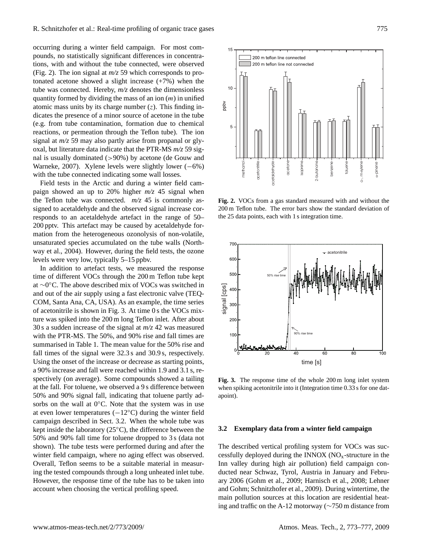occurring during a winter field campaign. For most compounds, no statistically significant differences in concentrations, with and without the tube connected, were observed (Fig. 2). The ion signal at  $m/z$  59 which corresponds to protonated acetone showed a slight increase (+7%) when the tube was connected. Hereby,  $m/z$  denotes the dimensionless quantity formed by dividing the mass of an ion  $(m)$  in unified atomic mass units by its charge number  $(z)$ . This finding indicates the presence of a minor source of acetone in the tube (e.g. from tube contamination, formation due to chemical reactions, or permeation through the Teflon tube). The ion signal at  $m/z$  59 may also partly arise from propanal or glyoxal, but literature data indicate that the PTR-MS  $m/z$  59 sig-nal is usually dominated (>90%) by acetone [\(de Gouw and](#page-4-9) [Warneke,](#page-4-9) [2007\)](#page-4-9). Xylene levels were slightly lower (-6%) with the tube connected indicating some wall losses.

Field tests in the Arctic and during a winter field campaign showed an up to 20% higher  $m/z$  45 signal when the Teflon tube was connected.  $m/z$  45 is commonly assigned to acetaldehyde and the observed signal increase corresponds to an acetaldehyde artefact in the range of 50– zopends to an acetation, at an activity in the range of 50-200 pptv. This artefact may be caused by acetaldehyde forpropert. This artefact may be caused by accurating at formation from the heterogeneous ozonolysis of non-volatile, mation from the netrogeneous ozonolysis of non-volatile, unsaturated species accumulated on the tube walls [\(North](#page-4-16)ansaturated species accumulated on the tube walls (North[way et al.,](#page-4-16) [2004\)](#page-4-16). However, during the field tests, the ozone levels were very low, typically 5–15 ppbv. were very low, typically 5-15 ppbv.  $\frac{1}{2}$  betain, 2004). However, during the field tests, the ozone levels the  $\frac{1}{2}$ and fall times are s[um](#page-3-0)marised in the two concerned indicating some wall looses.<br>
The distanting of the Arctic and during a winter field can-<br>
The mean of the Arctic and during a winter field can-<br>
The mean of the Arctic a

In addition to artefact tests, we measured the response  $\frac{1}{2}$ time of different VOCs through the 200 m Teflon tube kept at  $\frac{1}{200}$ at ∼0 ◦C. The above described mix of VOCs was switched in ◦C. The above described mix of VOCs was switched in and and out of the air supply using a fast electronic valve (TEQ-COM, Santa Ana, CA, USA). As an example, the time series of acetonitrile is shown in Fig. [3.](#page-2-1) At time  $0$  s the VOCs mixture was spiked into the 200 m long Teflon inlet. After about 30 s a sudden increase of the signal at  $m/z$  42 was measured with the PTR-MS. The  $50\%$ , and  $90\%$  rise and fall times are summarised in Table 1. The mean value for the 50% rise and fall times of the signal were 32.3 s and 30.9 s, respectively. Using the onset of the increase or decrease as starting points, a 90% increase and fall were reached within 1.9 and 3.1 s, respectively (on average). Some compounds showed a tailing at the fall. For toluene, we observed a 9 s difference between 50% and 90% signal fall, indicating that toluene partly adsorbs on the wall at 0℃. Note that the system was in use at even lower temperatures  $(-12°C)$  during the winter field campaign described in Sect. 3.2. When the whole tube was kept inside the laboratory (25◦C), the difference between the 50% and 90% fall time for toluene dropped to 3 s (data not shown). The tube tests were performed during and after the winter field campaign, where no aging effect was observed. Overall, Teflon seems to be a suitable material in measuring the tested compounds through a long unheated inlet tube. However, the response time of the tube has to be taken into account when choosing the vertical profiling speed.



<span id="page-2-0"></span>Fig. 2. VOCs from a gas standard measured with and without the  $200 \text{ m}$  Teflon tube. The error bars show the standard deviation of the 25 data points, each with 1 s integration time.



<span id="page-2-1"></span>Fig. 3. The response time of the whole 200 m long inlet system **Fig. 3.** The response time of the whole 200 m long inlet system when spiking acetonitrile into it (Integration time 0.33 s for one datapoint).

## 3.2 Exemplary data from a winter field campaign **3.2 Exemplary data from a winter field campaign**

The described vertical profiling system for VOCs was suc-The described vertical profiling system for VOCs was successfully deployed during the  $\overline{\text{IN}}$ OX (NO<sub>x</sub>-structure in the Inn valley during high air pollution) field campaign con-Inn valley during high air pollution) field campaign conducted near Schwaz, Tyrol, Austria in January and Febru-ducted near Schwaz, Tyrol, Austria in January and February 2006 (Gohm et al., 2009; Harnisch et al., 2008; Lehner ary 2006 [\(Gohm et al.,](#page-4-17) [2009;](#page-4-17) [Harnisch et al.,](#page-4-18) [2008;](#page-4-18) [Lehner](#page-4-19) [and Gohm;](#page-4-19) [Schnitzhofer et al.,](#page-4-20) [2009\)](#page-4-20). During wintertime, the main pollution sources at this location are residential heat-main pollution sources at this location are residential heat- $\frac{1}{100}$  and traffic on the A-12 motorway ( $\sim$  750 m distance from ing and traffic on the A-12 motorway ( $\sim$ 750 m distance from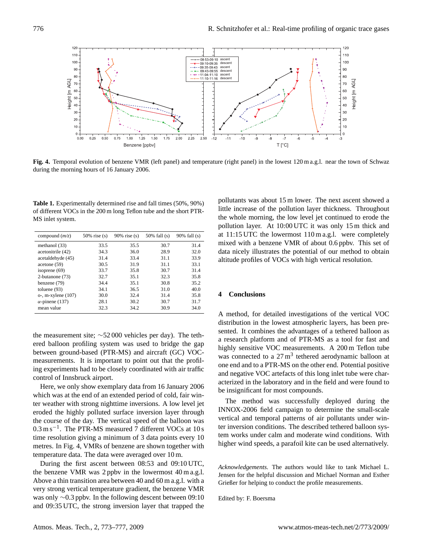

<span id="page-3-1"></span>Fig. 4. Temporal evolution of benzene VMR (left panel) and temperature (right panel) in the lowest 120 m a.g.l. near the town of Schwaz during the morning hours of 16 January 2006.

<span id="page-3-0"></span>of different VOCs in the 200 m long Teflon tube and the short PTR-R., Hansel, A., Fix, A., Neininger, B., and Emeis, S.: Air Pol-MS inlet system. **Table 1.** Experimentally determined rise and fall times (50%, 90%)

| compound $(m/z)$        | $50\%$ rise (s) | $90\%$ rise (s) | $50\%$ fall (s) | $90\%$ fall (s) |
|-------------------------|-----------------|-----------------|-----------------|-----------------|
| methanol (33)           | 33.5            | 35.5            | 30.7            | 31.4            |
| acetonitrile (42)       | 34.3            | 36.0            | 28.9            | 32.0            |
| acetaldehyde (45)       | 31.4            | 33.4            | 31.1            | 33.9            |
| acetone(59)             | 30.5            | 31.9            | 31.1            | 33.1            |
| isoprene $(69)$         | 33.7            | 35.8            | 30.7            | 31.4            |
| 2-butanone (73)         | 32.7            | 35.1            | 32.3            | 35.8            |
| benzene (79)            | 34.4            | 35.1            | 30.8            | 35.2            |
| toluene $(93)$          | 34.1            | 36.5            | 31.0            | 40.0            |
| $o$ -, m-xylene $(107)$ | 30.0            | 32.4            | 31.4            | 35.8            |
| $\alpha$ -pinene (137)  | 28.1            | 30.2            | 30.7            | 31.7            |
| mean value              | 32.3            | 34.2            | 30.9            | 34.0            |

the measurement site;  $\sim$ 52 000 vehicles per day). The tethered balloon profiling system was used to bridge the gap between ground-based (PTR-MS) and aircraft (GC) VOCmeasurements. It is important to point out that the profiling experiments had to be closely coordinated with air traffic control of Innsbruck airport.

Here, we only show exemplary data from 16 January 2006 which was at the end of an extended period of cold, fair winter weather with strong nighttime inversions. A low level jet eroded the highly polluted surface inversion layer through  $\text{m}$  course of the day. The vertical speed of the balloon was 0.3 m s<sup>-1</sup>. The PTR-MS measured 7 different VOCs at 10 s  $\frac{30.5 \text{ m/s}}{100 \text{ m/s}}$ . The ITN MS measured 7 direction  $\sqrt{60.8 \text{ m/s}}$  time resolution giving a minimum of 3 data points every 10 metres. In Fig. [4,](#page-3-1) VMRs of benzene are shown together with temperature data. The data were averaged over  $10 \text{ m}$ . the course of the day. The vertical speed of the balloon was

During the first ascent between 08:53 and 09:10 UTC, the benzene VMR was 2 ppbv in the lowermost 40 m a.g.l. Above a thin transition area between 40 and 60 m a.g.l. with a very strong vertical temperature gradient, the benzene VMR was only  $\sim$ 0.3 ppbv. In the following descent between 09:10 and 09:35 UTC, the strong inversion layer that trapped the

little increase of the pollution layer thickness. Throughout the whole morning, the low level jet continued to erode the pollution layer. At  $10:00$  UTC it was only 15 m thick and at 11.15 61C the lowerhost 110 m a.g.t. were completely<br>mixed with a benzene VMR of about 0.6 ppbv. This set of mixed with a benzene VIII. Of about 0.0 ppov. This set of data nicely illustrates the potential of our method to obtain and moty massives are poundated or our memore to occur.<br>altitude profiles of VOCs with high vertical resolution. I., Blake, N., Blake, R., Carslaw, K., Cooper, O., Dentener, pollutants was about 15 m lower. The next ascent showed a at 11:15 UTC the lowermost 110 m a.g.l. were completely

## J., Hofzumahaus, A., Huntrieser, H., Isaksen, I., Jenkin, M., **4 Conclusions**

A method, for detailed investigations of the vertical VOC distribution in the lowest atmospheric layers, has been presented. It combines the advantages of a tethered balloon as a research platform and of PTR-MS as a tool for fast and highly sensitive VOC measurements. A 200 m Teflon tube was connected to a  $27 \text{ m}^3$  tethered aerodynamic balloon at one end and to a PTR-MS on the other end. Potential positive<br>one describes  $NCG$  entifieds of this large inlet the other energy and negative voc artefacts of this long linet three were ends acterized in the laboratory and in the field and were found to assemble in the institutely that in the first that were round to<br>be insignificant for most compounds. and negative VOC artefacts of this long inlet tube were char-

The method was successfully deployed during the INNOX-2006 field campaign to determine the small-scale 2009. vertical and temporal patterns of air pollutants under winter inversion conditions. The described tethered balloon system works under calm and moderate wind conditions. With higher wind speeds, a parafoil kite can be used alternatively.

*Acknowledgements*. The authors would like to tank Michael L. Hermowiedgements. The admost would like to tail initiated E.<br>Jensen for the helpful discussion and Michael Norman and Esther Grießer for helping to conduct the profile measurements.

Edited by: F. Boersma